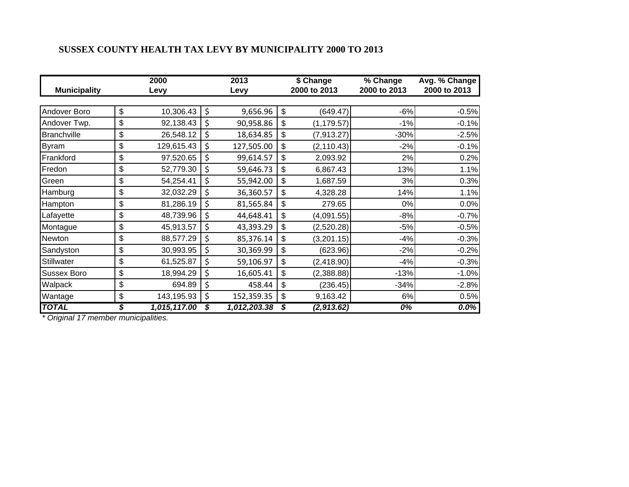## **SUSSEX COUNTY HEALTH TAX LEVY BY MUNICIPALITY 2000 TO 2013**

| <b>Municipality</b> | 2000<br>Levy       | 2013<br>Levy |              |    | \$ Change<br>2000 to 2013 | % Change<br>2000 to 2013 | Avg. % Change<br>2000 to 2013 |  |
|---------------------|--------------------|--------------|--------------|----|---------------------------|--------------------------|-------------------------------|--|
|                     |                    |              |              |    |                           |                          |                               |  |
| Andover Boro        | \$<br>10,306.43    | \$           | 9,656.96     | \$ | (649.47)                  | $-6%$                    | $-0.5%$                       |  |
| Andover Twp.        | \$<br>92,138.43    | \$           | 90,958.86    | \$ | (1, 179.57)               | $-1%$                    | $-0.1%$                       |  |
| <b>Branchville</b>  | \$<br>26,548.12    | \$           | 18,634.85    | \$ | (7,913.27)                | $-30%$                   | $-2.5%$                       |  |
| <b>Byram</b>        | \$<br>129,615.43   | \$           | 127,505.00   | \$ | (2, 110.43)               | $-2%$                    | $-0.1%$                       |  |
| Frankford           | \$<br>97,520.65    | \$           | 99,614.57    | \$ | 2,093.92                  | 2%                       | 0.2%                          |  |
| Fredon              | \$<br>52,779.30    | \$           | 59,646.73    | \$ | 6,867.43                  | 13%                      | 1.1%                          |  |
| Green               | \$<br>54,254.41    | \$           | 55,942.00    | \$ | 1,687.59                  | 3%                       | 0.3%                          |  |
| Hamburg             | \$<br>32,032.29    | \$           | 36,360.57    | \$ | 4,328.28                  | 14%                      | 1.1%                          |  |
| Hampton             | \$<br>81,286.19    | \$           | 81,565.84    | \$ | 279.65                    | 0%                       | 0.0%                          |  |
| Lafayette           | \$<br>48,739.96    | \$           | 44,648.41    | \$ | (4,091.55)                | $-8%$                    | $-0.7%$                       |  |
| Montague            | \$<br>45,913.57    | \$           | 43,393.29    | \$ | (2,520.28)                | $-5%$                    | $-0.5%$                       |  |
| Newton              | \$<br>88,577.29    | \$           | 85,376.14    | \$ | (3,201.15)                | $-4%$                    | $-0.3%$                       |  |
| Sandyston           | \$<br>30,993.95    | \$           | 30,369.99    | \$ | (623.96)                  | $-2%$                    | $-0.2%$                       |  |
| Stillwater          | \$<br>61,525.87    | \$           | 59,106.97    | \$ | (2,418.90)                | $-4%$                    | $-0.3%$                       |  |
| <b>Sussex Boro</b>  | \$<br>18,994.29    | \$           | 16,605.41    | \$ | (2,388.88)                | $-13%$                   | $-1.0%$                       |  |
| Walpack             | \$<br>694.89       | \$           | 458.44       | \$ | (236.45)                  | $-34%$                   | $-2.8%$                       |  |
| Wantage             | \$<br>143,195.93   | \$           | 152,359.35   | \$ | 9,163.42                  | 6%                       | 0.5%                          |  |
| <b>TOTAL</b>        | \$<br>1,015,117.00 | \$           | 1,012,203.38 | \$ | (2,913.62)                | $0\%$                    | $0.0\%$                       |  |

*\* Original 17 member municipalities.*